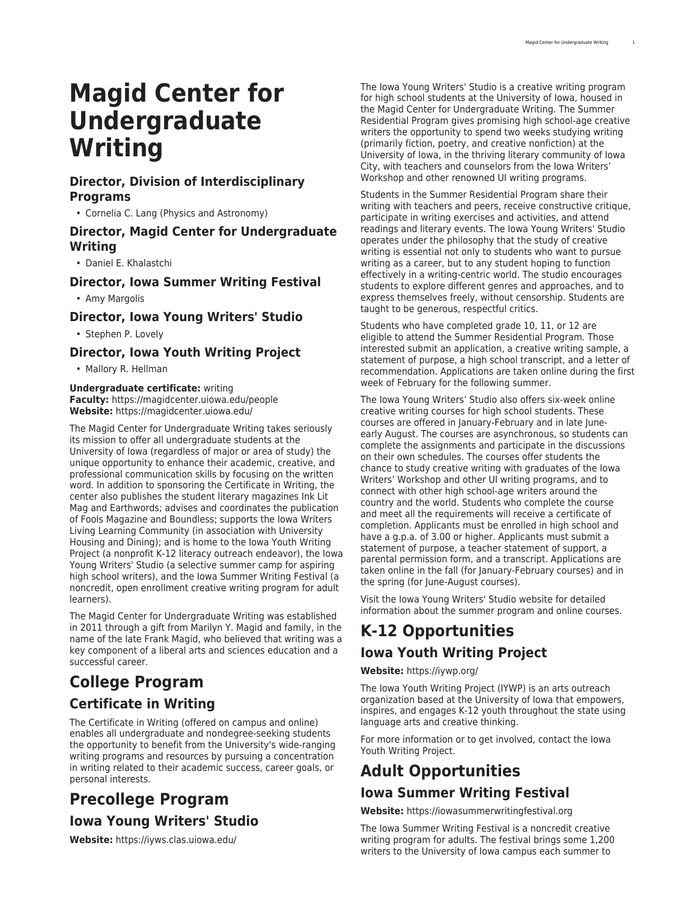# **Magid Center for Undergraduate Writing**

### **Director, Division of Interdisciplinary Programs**

• Cornelia C. Lang (Physics and Astronomy)

### **Director, Magid Center for Undergraduate Writing**

• Daniel E. Khalastchi

### **Director, Iowa Summer Writing Festival**

• Amy Margolis

### **Director, Iowa Young Writers' Studio**

• Stephen P. Lovely

### **Director, Iowa Youth Writing Project**

• Mallory R. Hellman

#### **Undergraduate certificate:** writing **Faculty:** [https://magidcenter.uiowa.edu/people](https://magidcenter.uiowa.edu/people/) **Website:** <https://magidcenter.uiowa.edu/>

The Magid Center for Undergraduate Writing takes seriously its mission to offer all undergraduate students at the University of Iowa (regardless of major or area of study) the unique opportunity to enhance their academic, creative, and professional communication skills by focusing on the written word. In addition to sponsoring the [Certificate in Writing,](http://catalog.registrar.uiowa.edu/liberal-arts-sciences/magid-center-undergraduate-writing/writing-certificate/) the center also publishes the student literary magazines [Ink Lit](https://magidcenter.uiowa.edu/publications/ink-lit-mag/) [Mag](https://magidcenter.uiowa.edu/publications/ink-lit-mag/) and [Earthwords;](https://www.earthwordsmag.com/) advises and coordinates the publication of [Fools Magazine](https://www.foolsmag.com/) and [Boundless](https://unbound.com/boundless/about/); supports the [Iowa Writers](https://housing.uiowa.edu/communities/iowa-writers/) [Living Learning Community](https://housing.uiowa.edu/communities/iowa-writers/) (in association with University Housing and Dining); and is home to the [Iowa Youth Writing](https://iywp.org/) [Project](https://iywp.org/) (a nonprofit K-12 literacy outreach endeavor), the [Iowa](https://iyws.clas.uiowa.edu/) [Young Writers' Studio](https://iyws.clas.uiowa.edu/) (a selective summer camp for aspiring high school writers), and the [Iowa Summer Writing Festival](https://iowasummerwritingfestival.org/) (a noncredit, open enrollment creative writing program for adult learners).

The Magid Center for Undergraduate Writing was established in 2011 through a gift from Marilyn Y. Magid and family, in the name of the late Frank Magid, who believed that writing was a key component of a liberal arts and sciences education and a successful career.

# **College Program Certificate in Writing**

The [Certificate in Writing](http://catalog.registrar.uiowa.edu/liberal-arts-sciences/magid-center-undergraduate-writing/writing-certificate/) (offered on campus and online) enables all undergraduate and nondegree-seeking students the opportunity to benefit from the University's wide-ranging writing programs and resources by pursuing a concentration in writing related to their academic success, career goals, or personal interests.

# **Precollege Program**

# **Iowa Young Writers' Studio**

**Website:** <https://iyws.clas.uiowa.edu/>

The Iowa Young Writers' Studio is a creative writing program for high school students at the University of Iowa, housed in the Magid Center for Undergraduate Writing. The Summer Residential Program gives promising high school-age creative writers the opportunity to spend two weeks studying writing (primarily fiction, poetry, and creative nonfiction) at the University of Iowa, in the thriving literary community of Iowa City, with teachers and counselors from the Iowa Writers' Workshop and other renowned UI writing programs.

Students in the Summer Residential Program share their writing with teachers and peers, receive constructive critique, participate in writing exercises and activities, and attend readings and literary events. The Iowa Young Writers' Studio operates under the philosophy that the study of creative writing is essential not only to students who want to pursue writing as a career, but to any student hoping to function effectively in a writing-centric world. The studio encourages students to explore different genres and approaches, and to express themselves freely, without censorship. Students are taught to be generous, respectful critics.

Students who have completed grade 10, 11, or 12 are eligible to attend the Summer Residential Program. Those interested submit an application, a creative writing sample, a statement of purpose, a high school transcript, and a letter of recommendation. Applications are taken online during the first week of February for the following summer.

The Iowa Young Writers' Studio also offers six-week online creative writing courses for high school students. These courses are offered in January-February and in late Juneearly August. The courses are asynchronous, so students can complete the assignments and participate in the discussions on their own schedules. The courses offer students the chance to study creative writing with graduates of the Iowa Writers' Workshop and other UI writing programs, and to connect with other high school-age writers around the country and the world. Students who complete the course and meet all the requirements will receive a certificate of completion. Applicants must be enrolled in high school and have a g.p.a. of 3.00 or higher. Applicants must submit a statement of purpose, a teacher statement of support, a parental permission form, and a transcript. Applications are taken online in the fall (for January-February courses) and in the spring (for June-August courses).

Visit the [Iowa Young Writers' Studio](https://iyws.clas.uiowa.edu/) website for detailed information about the summer program and online courses.

# **K-12 Opportunities Iowa Youth Writing Project**

**Website:** <https://iywp.org/>

The Iowa Youth Writing Project (IYWP) is an arts outreach organization based at the University of Iowa that empowers, inspires, and engages K-12 youth throughout the state using language arts and creative thinking.

For more information or to get involved, contact the [Iowa](https://iywp.org/) [Youth Writing Project.](https://iywp.org/)

# **Adult Opportunities**

## **Iowa Summer Writing Festival**

**Website:** <https://iowasummerwritingfestival.org>

The Iowa Summer Writing Festival is a noncredit creative writing program for adults. The festival brings some 1,200 writers to the University of Iowa campus each summer to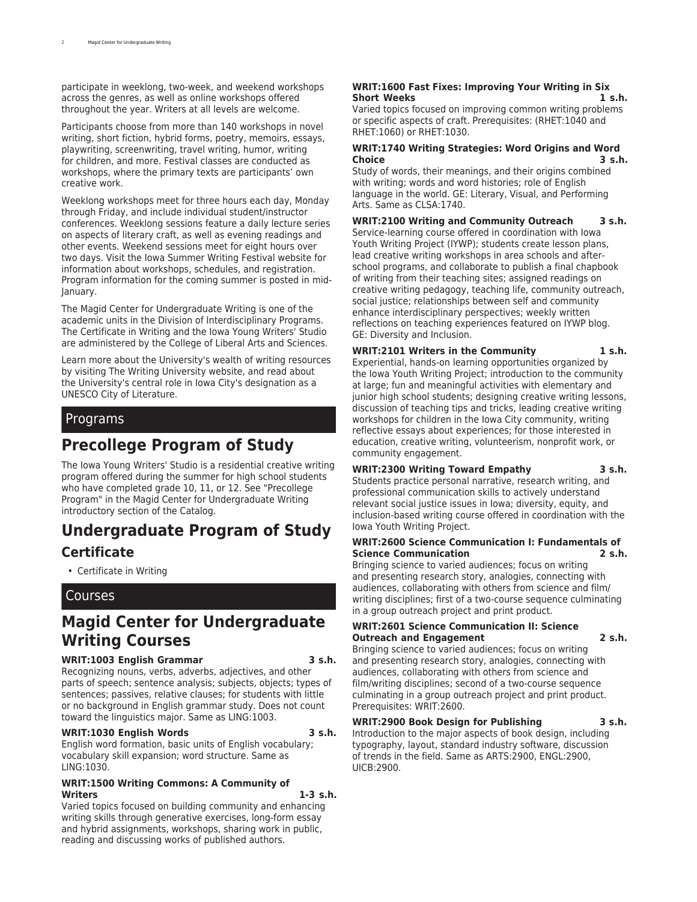participate in weeklong, two-week, and weekend workshops across the genres, as well as online workshops offered throughout the year. Writers at all levels are welcome.

Participants choose from more than 140 workshops in novel writing, short fiction, hybrid forms, poetry, memoirs, essays, playwriting, screenwriting, travel writing, humor, writing for children, and more. Festival classes are conducted as workshops, where the primary texts are participants' own creative work.

Weeklong workshops meet for three hours each day, Monday through Friday, and include individual student/instructor conferences. Weeklong sessions feature a daily lecture series on aspects of literary craft, as well as evening readings and other events. Weekend sessions meet for eight hours over two days. Visit the [Iowa Summer Writing Festival](https://iowasummerwritingfestival.org/) website for information about workshops, schedules, and registration. Program information for the coming summer is posted in mid-January.

The [Magid Center for Undergraduate Writing](https://magidcenter.uiowa.edu/) is one of the academic units in the Division of [Interdisciplinary Programs.](http://catalog.registrar.uiowa.edu/liberal-arts-sciences/division-interdisciplinary-programs/) The Certificate in Writing and the Iowa Young Writers' Studio are administered by the College of [Liberal Arts and Sciences.](http://catalog.registrar.uiowa.edu/liberal-arts-sciences/)

Learn more about the University's wealth of writing resources by visiting [The Writing University](https://writinguniversity.org/) website, and read about the University's central role in Iowa City's designation as a [UNESCO City of Literature.](https://unesdoc.unesco.org/ark:/48223/pf0000182960/)

### Programs

# **Precollege Program of Study**

The Iowa Young Writers' Studio is a residential creative writing program offered during the summer for high school students who have completed grade 10, 11, or 12. See "Precollege Program" in the Magid Center for Undergraduate Writing introductory section of the Catalog.

# **Undergraduate Program of Study**

### **Certificate**

• [Certificate in Writing](http://catalog.registrar.uiowa.edu/liberal-arts-sciences/magid-center-undergraduate-writing/writing-certificate/)

### Courses

## **Magid Center for Undergraduate Writing Courses**

#### **WRIT:1003 English Grammar 3 s.h.**

Recognizing nouns, verbs, adverbs, adjectives, and other parts of speech; sentence analysis; subjects, objects; types of sentences; passives, relative clauses; for students with little or no background in English grammar study. Does not count toward the linguistics major. Same as LING:1003.

#### **WRIT:1030 English Words 3 s.h.**

English word formation, basic units of English vocabulary; vocabulary skill expansion; word structure. Same as LING:1030.

#### **WRIT:1500 Writing Commons: A Community of Writers 1-3 s.h.**

Varied topics focused on building community and enhancing writing skills through generative exercises, long-form essay and hybrid assignments, workshops, sharing work in public, reading and discussing works of published authors.

#### **WRIT:1600 Fast Fixes: Improving Your Writing in Six Short Weeks 1 s.h.**

Varied topics focused on improving common writing problems or specific aspects of craft. Prerequisites: (RHET:1040 and RHET:1060) or RHET:1030.

#### **WRIT:1740 Writing Strategies: Word Origins and Word Choice 3 s.h.**

Study of words, their meanings, and their origins combined with writing; words and word histories; role of English language in the world. GE: Literary, Visual, and Performing Arts. Same as CLSA:1740.

#### **WRIT:2100 Writing and Community Outreach 3 s.h.** Service-learning course offered in coordination with Iowa Youth Writing Project (IYWP); students create lesson plans, lead creative writing workshops in area schools and after-

school programs, and collaborate to publish a final chapbook of writing from their teaching sites; assigned readings on creative writing pedagogy, teaching life, community outreach, social justice; relationships between self and community enhance interdisciplinary perspectives; weekly written reflections on teaching experiences featured on IYWP blog. GE: Diversity and Inclusion.

#### **WRIT:2101 Writers in the Community 1 s.h.** Experiential, hands-on learning opportunities organized by

the Iowa Youth Writing Project; introduction to the community at large; fun and meaningful activities with elementary and junior high school students; designing creative writing lessons, discussion of teaching tips and tricks, leading creative writing workshops for children in the Iowa City community, writing reflective essays about experiences; for those interested in education, creative writing, volunteerism, nonprofit work, or community engagement.

#### **WRIT:2300 Writing Toward Empathy 3 s.h.**

Students practice personal narrative, research writing, and professional communication skills to actively understand relevant social justice issues in Iowa; diversity, equity, and inclusion-based writing course offered in coordination with the Iowa Youth Writing Project.

#### **WRIT:2600 Science Communication I: Fundamentals of Science Communication 2 s.h.**

Bringing science to varied audiences; focus on writing and presenting research story, analogies, connecting with audiences, collaborating with others from science and film/ writing disciplines; first of a two-course sequence culminating in a group outreach project and print product.

#### **WRIT:2601 Science Communication II: Science Outreach and Engagement 2 s.h.**

Bringing science to varied audiences; focus on writing and presenting research story, analogies, connecting with audiences, collaborating with others from science and film/writing disciplines; second of a two-course sequence culminating in a group outreach project and print product. Prerequisites: WRIT:2600.

#### **WRIT:2900 Book Design for Publishing 3 s.h.**

Introduction to the major aspects of book design, including typography, layout, standard industry software, discussion of trends in the field. Same as ARTS:2900, ENGL:2900, UICB:2900.